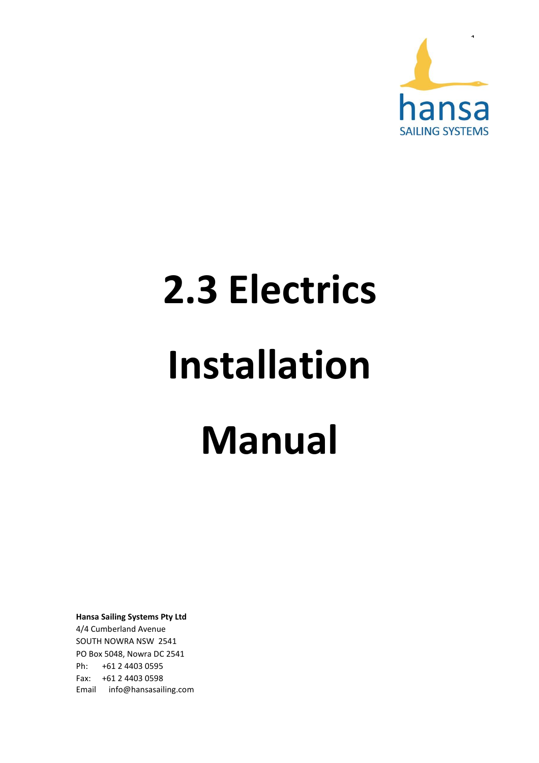

# **2.3 Electrics Installation Manual**

**Hansa Sailing Systems Pty Ltd** 4/4 Cumberland Avenue SOUTH NOWRA NSW 2541 PO Box 5048, Nowra DC 2541 Ph: +61 2 4403 0595 Fax: +61 2 4403 0598 Email info@hansasailing.com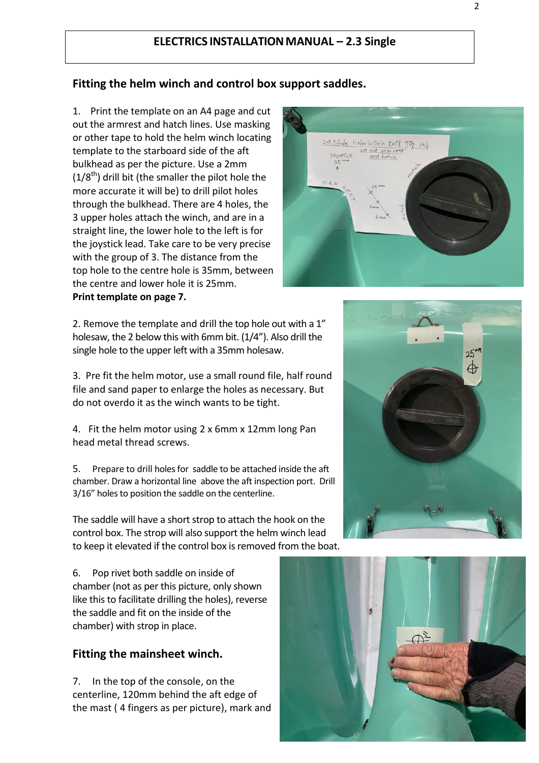# **ELECTRICS INSTALLATIONMANUAL – 2.3 Single**

# **Fitting the helm winch and control box support saddles.**

1. Print the template on an A4 page and cut out the armrest and hatch lines. Use masking or other tape to hold the helm winch locating template to the starboard side of the aft bulkhead as per the picture. Use a 2mm  $(1/8^{th})$  drill bit (the smaller the pilot hole the more accurate it will be) to drill pilot holes through the bulkhead. There are 4 holes, the 3 upper holes attach the winch, and are in a straight line, the lower hole to the left is for the joystick lead. Take care to be very precise with the group of 3. The distance from the top hole to the centre hole is 35mm, between the centre and lower hole it is 25mm. **Print template on page 7.**

2. Remove the template and drill the top hole out with a 1" holesaw, the 2 below this with 6mm bit. (1/4"). Also drill the single hole to the upper left with a 35mm holesaw.

3. Pre fit the helm motor, use a small round file, half round file and sand paper to enlarge the holes as necessary. But do not overdo it as the winch wants to be tight.

4. Fit the helm motor using 2 x 6mm x 12mm long Pan head metal thread screws.

5. Prepare to drill holes for saddle to be attached inside the aft chamber. Draw a horizontal line above the aft inspection port. Drill 3/16" holes to position the saddle on the centerline.

The saddle will have a short strop to attach the hook on the control box. The strop will also support the helm winch lead to keep it elevated if the control box is removed from the boat.

6. Pop rivet both saddle on inside of chamber (not as per this picture, only shown like this to facilitate drilling the holes), reverse the saddle and fit on the inside of the chamber) with strop in place.

## **Fitting the mainsheet winch.**

7. In the top of the console, on the centerline, 120mm behind the aft edge of the mast ( 4 fingers as per picture), mark and





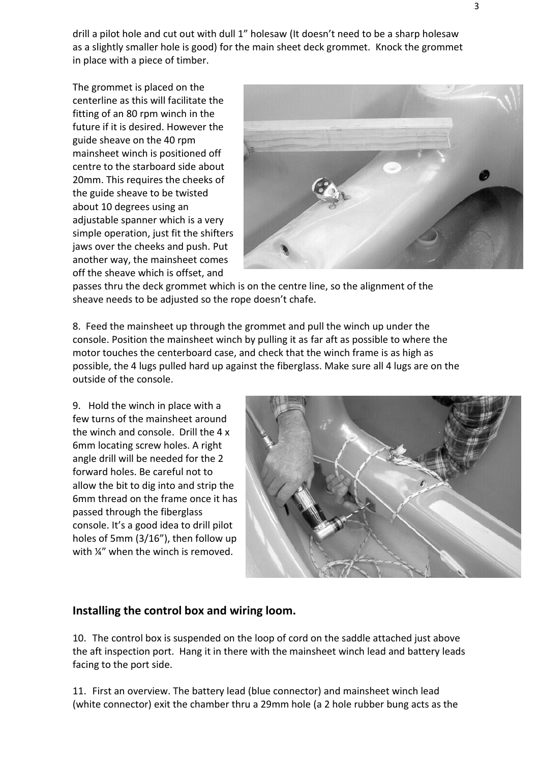drill a pilot hole and cut out with dull 1" holesaw (It doesn't need to be a sharp holesaw as a slightly smaller hole is good) for the main sheet deck grommet. Knock the grommet in place with a piece of timber.

The grommet is placed on the centerline as this will facilitate the fitting of an 80 rpm winch in the future if it is desired. However the guide sheave on the 40 rpm mainsheet winch is positioned off centre to the starboard side about 20mm. This requires the cheeks of the guide sheave to be twisted about 10 degrees using an adjustable spanner which is a very simple operation, just fit the shifters jaws over the cheeks and push. Put another way, the mainsheet comes off the sheave which is offset, and



passes thru the deck grommet which is on the centre line, so the alignment of the sheave needs to be adjusted so the rope doesn't chafe.

8. Feed the mainsheet up through the grommet and pull the winch up under the console. Position the mainsheet winch by pulling it as far aft as possible to where the motor touches the centerboard case, and check that the winch frame is as high as possible, the 4 lugs pulled hard up against the fiberglass. Make sure all 4 lugs are on the outside of the console.

9. Hold the winch in place with a few turns of the mainsheet around the winch and console. Drill the 4 x 6mm locating screw holes. A right angle drill will be needed for the 2 forward holes. Be careful not to allow the bit to dig into and strip the 6mm thread on the frame once it has passed through the fiberglass console. It's a good idea to drill pilot holes of 5mm (3/16"), then follow up with  $\frac{1}{4}$  when the winch is removed.



# **Installing the control box and wiring loom.**

10. The control box is suspended on the loop of cord on the saddle attached just above the aft inspection port. Hang it in there with the mainsheet winch lead and battery leads facing to the port side.

11. First an overview. The battery lead (blue connector) and mainsheet winch lead (white connector) exit the chamber thru a 29mm hole (a 2 hole rubber bung acts as the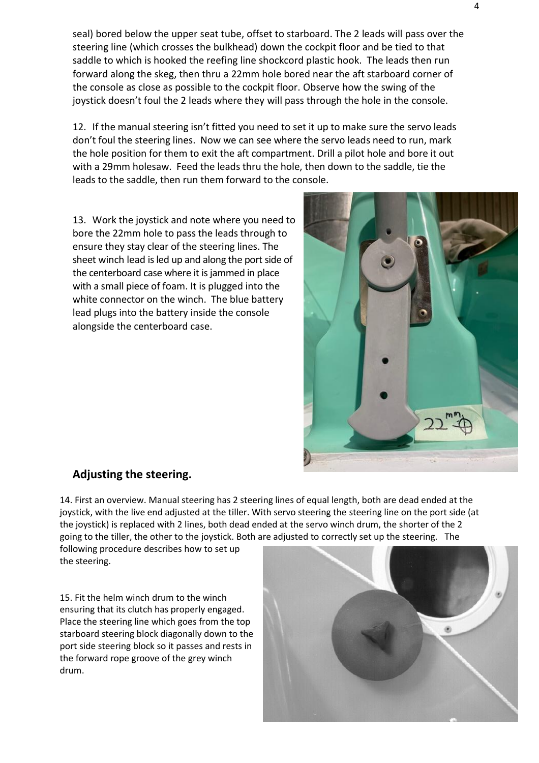seal) bored below the upper seat tube, offset to starboard. The 2 leads will pass over the steering line (which crosses the bulkhead) down the cockpit floor and be tied to that saddle to which is hooked the reefing line shockcord plastic hook. The leads then run forward along the skeg, then thru a 22mm hole bored near the aft starboard corner of the console as close as possible to the cockpit floor. Observe how the swing of the joystick doesn't foul the 2 leads where they will pass through the hole in the console.

12. If the manual steering isn't fitted you need to set it up to make sure the servo leads don't foul the steering lines. Now we can see where the servo leads need to run, mark the hole position for them to exit the aft compartment. Drill a pilot hole and bore it out with a 29mm holesaw. Feed the leads thru the hole, then down to the saddle, tie the leads to the saddle, then run them forward to the console.

13. Work the joystick and note where you need to bore the 22mm hole to pass the leads through to ensure they stay clear of the steering lines. The sheet winch lead is led up and along the port side of the centerboard case where it is jammed in place with a small piece of foam. It is plugged into the white connector on the winch. The blue battery lead plugs into the battery inside the console alongside the centerboard case.



# **Adjusting the steering.**

14. First an overview. Manual steering has 2 steering lines of equal length, both are dead ended at the joystick, with the live end adjusted at the tiller. With servo steering the steering line on the port side (at the joystick) is replaced with 2 lines, both dead ended at the servo winch drum, the shorter of the 2 going to the tiller, the other to the joystick. Both are adjusted to correctly set up the steering. The

following procedure describes how to set up the steering.

15. Fit the helm winch drum to the winch ensuring that its clutch has properly engaged. Place the steering line which goes from the top starboard steering block diagonally down to the port side steering block so it passes and rests in the forward rope groove of the grey winch drum.

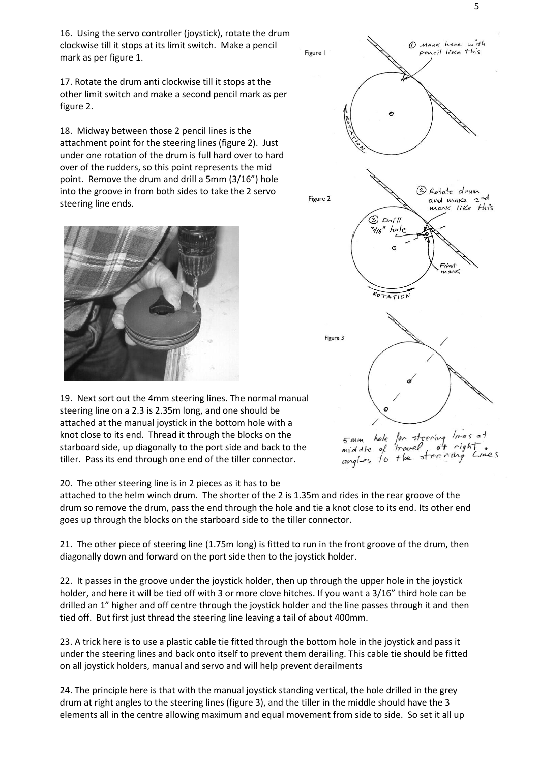16. Using the servo controller (joystick), rotate the drum clockwise till it stops at its limit switch. Make a pencil mark as per figure 1.

17. Rotate the drum anti clockwise till it stops at the other limit switch and make a second pencil mark as per figure 2.

18. Midway between those 2 pencil lines is the attachment point for the steering lines (figure 2). Just under one rotation of the drum is full hard over to hard over of the rudders, so this point represents the mid point. Remove the drum and drill a 5mm (3/16") hole into the groove in from both sides to take the 2 servo steering line ends.



19. Next sort out the 4mm steering lines. The normal manual steering line on a 2.3 is 2.35m long, and one should be attached at the manual joystick in the bottom hole with a knot close to its end. Thread it through the blocks on the starboard side, up diagonally to the port side and back to the tiller. Pass its end through one end of the tiller connector.

### 20. The other steering line is in 2 pieces as it has to be

attached to the helm winch drum. The shorter of the 2 is 1.35m and rides in the rear groove of the drum so remove the drum, pass the end through the hole and tie a knot close to its end. Its other end goes up through the blocks on the starboard side to the tiller connector.

21. The other piece of steering line (1.75m long) is fitted to run in the front groove of the drum, then diagonally down and forward on the port side then to the joystick holder.

22. It passes in the groove under the joystick holder, then up through the upper hole in the joystick holder, and here it will be tied off with 3 or more clove hitches. If you want a 3/16" third hole can be drilled an 1" higher and off centre through the joystick holder and the line passes through it and then tied off. But first just thread the steering line leaving a tail of about 400mm.

23. A trick here is to use a plastic cable tie fitted through the bottom hole in the joystick and pass it under the steering lines and back onto itself to prevent them derailing. This cable tie should be fitted on all joystick holders, manual and servo and will help prevent derailments

24. The principle here is that with the manual joystick standing vertical, the hole drilled in the grey drum at right angles to the steering lines (figure 3), and the tiller in the middle should have the 3 elements all in the centre allowing maximum and equal movement from side to side. So set it all up



hole  $5mm$ travel middle of angles to  $H_{\text{A}}$ ъt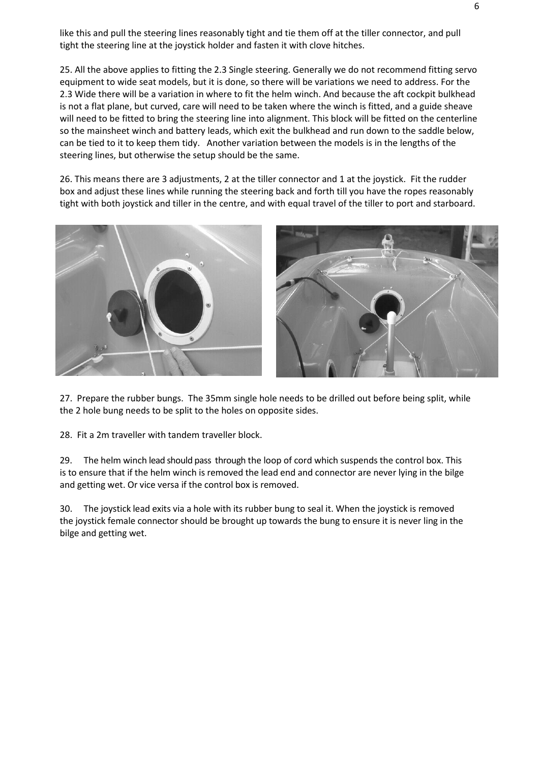like this and pull the steering lines reasonably tight and tie them off at the tiller connector, and pull tight the steering line at the joystick holder and fasten it with clove hitches.

25. All the above applies to fitting the 2.3 Single steering. Generally we do not recommend fitting servo equipment to wide seat models, but it is done, so there will be variations we need to address. For the 2.3 Wide there will be a variation in where to fit the helm winch. And because the aft cockpit bulkhead is not a flat plane, but curved, care will need to be taken where the winch is fitted, and a guide sheave will need to be fitted to bring the steering line into alignment. This block will be fitted on the centerline so the mainsheet winch and battery leads, which exit the bulkhead and run down to the saddle below, can be tied to it to keep them tidy. Another variation between the models is in the lengths of the steering lines, but otherwise the setup should be the same.

26. This means there are 3 adjustments, 2 at the tiller connector and 1 at the joystick. Fit the rudder box and adjust these lines while running the steering back and forth till you have the ropes reasonably tight with both joystick and tiller in the centre, and with equal travel of the tiller to port and starboard.



27. Prepare the rubber bungs. The 35mm single hole needs to be drilled out before being split, while the 2 hole bung needs to be split to the holes on opposite sides.

28. Fit a 2m traveller with tandem traveller block.

29. The helm winch lead should pass through the loop of cord which suspends the control box. This is to ensure that if the helm winch is removed the lead end and connector are never lying in the bilge and getting wet. Or vice versa if the control box is removed.

30. The joystick lead exits via a hole with its rubber bung to seal it. When the joystick is removed the joystick female connector should be brought up towards the bung to ensure it is never ling in the bilge and getting wet.